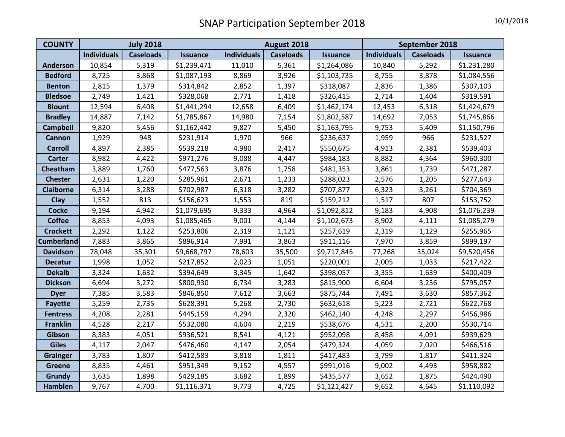| <b>COUNTY</b>     | <b>July 2018</b>   |                  |                 | August 2018        |                  |                 | September 2018     |                  |                 |
|-------------------|--------------------|------------------|-----------------|--------------------|------------------|-----------------|--------------------|------------------|-----------------|
|                   | <b>Individuals</b> | <b>Caseloads</b> | <b>Issuance</b> | <b>Individuals</b> | <b>Caseloads</b> | <b>Issuance</b> | <b>Individuals</b> | <b>Caseloads</b> | <b>Issuance</b> |
| <b>Anderson</b>   | 10,854             | 5,319            | \$1,239,471     | 11,010             | 5,361            | \$1,264,086     | 10,840             | 5,292            | \$1,231,280     |
| <b>Bedford</b>    | 8,725              | 3,868            | \$1,087,193     | 8,869              | 3,926            | \$1,103,735     | 8,755              | 3,878            | \$1,084,556     |
| <b>Benton</b>     | 2,815              | 1,379            | \$314,842       | 2,852              | 1,397            | \$318,087       | 2,836              | 1,386            | \$307,103       |
| <b>Bledsoe</b>    | 2,749              | 1,421            | \$328,068       | 2,771              | 1,418            | \$326,415       | 2,714              | 1,404            | \$319,591       |
| <b>Blount</b>     | 12,594             | 6,408            | \$1,441,294     | 12,658             | 6,409            | \$1,462,174     | 12,453             | 6,318            | \$1,424,679     |
| <b>Bradley</b>    | 14,887             | 7,142            | \$1,785,867     | 14,980             | 7,154            | \$1,802,587     | 14,692             | 7,053            | \$1,745,866     |
| <b>Campbell</b>   | 9,820              | 5,456            | \$1,162,442     | 9,827              | 5,450            | \$1,163,795     | 9,753              | 5,409            | \$1,150,796     |
| Cannon            | 1,929              | 948              | \$231,914       | 1,970              | 966              | \$236,637       | 1,959              | 966              | \$231,527       |
| <b>Carroll</b>    | 4,897              | 2,385            | \$539,218       | 4,980              | 2,417            | \$550,675       | 4,913              | 2,381            | \$539,403       |
| <b>Carter</b>     | 8,982              | 4,422            | \$971,276       | 9,088              | 4,447            | \$984,183       | 8,882              | 4,364            | \$960,300       |
| Cheatham          | 3,889              | 1,760            | \$477,563       | 3,876              | 1,758            | \$481,353       | 3,861              | 1,739            | \$471,287       |
| <b>Chester</b>    | 2,631              | 1,220            | \$285,961       | 2,671              | 1,233            | \$288,023       | 2,576              | 1,205            | \$277,643       |
| <b>Claiborne</b>  | 6,314              | 3,288            | \$702,987       | 6,318              | 3,282            | \$707,877       | 6,323              | 3,261            | \$704,369       |
| Clay              | 1,552              | 813              | \$156,623       | 1,553              | 819              | \$159,212       | 1,517              | 807              | \$153,752       |
| <b>Cocke</b>      | 9,194              | 4,942            | \$1,079,695     | 9,333              | 4,964            | \$1,092,812     | 9,183              | 4,908            | \$1,076,239     |
| <b>Coffee</b>     | 8,853              | 4,093            | \$1,085,465     | 9,001              | 4,144            | \$1,102,673     | 8,902              | 4,111            | \$1,085,279     |
| <b>Crockett</b>   | 2,292              | 1,122            | \$253,806       | 2,319              | 1,121            | \$257,619       | 2,319              | 1,129            | \$255,965       |
| <b>Cumberland</b> | 7,883              | 3,865            | \$896,914       | 7,991              | 3,863            | \$911,116       | 7,970              | 3,859            | \$899,197       |
| <b>Davidson</b>   | 78,048             | 35,301           | \$9,668,797     | 78,603             | 35,500           | \$9,717,845     | 77,268             | 35,024           | \$9,520,456     |
| <b>Decatur</b>    | 1,998              | 1,052            | \$217,852       | 2,023              | 1,051            | \$220,001       | 2,005              | 1,033            | \$217,422       |
| <b>Dekalb</b>     | 3,324              | 1,632            | \$394,649       | 3,345              | 1,642            | \$398,057       | 3,355              | 1,639            | \$400,409       |
| <b>Dickson</b>    | 6,694              | 3,272            | \$800,930       | 6,734              | 3,283            | \$815,900       | 6,604              | 3,236            | \$795,057       |
| <b>Dyer</b>       | 7,385              | 3,583            | \$846,850       | 7,612              | 3,663            | \$875,744       | 7,491              | 3,630            | \$857,362       |
| <b>Fayette</b>    | 5,259              | 2,735            | \$628,391       | 5,268              | 2,730            | \$632,618       | 5,223              | 2,721            | \$622,768       |
| <b>Fentress</b>   | 4,208              | 2,281            | \$445,159       | 4,294              | 2,320            | \$462,140       | 4,248              | 2,297            | \$456,986       |
| <b>Franklin</b>   | 4,528              | 2,217            | \$532,080       | 4,604              | 2,219            | \$538,676       | 4,531              | 2,200            | \$530,714       |
| Gibson            | 8,383              | 4,051            | \$936,521       | 8,541              | 4,121            | \$952,098       | 8,458              | 4,091            | \$939,629       |
| <b>Giles</b>      | 4,117              | 2,047            | \$476,460       | 4,147              | 2,054            | \$479,324       | 4,059              | 2,020            | \$466,516       |
| <b>Grainger</b>   | 3,783              | 1,807            | \$412,583       | 3,818              | 1,811            | \$417,483       | 3,799              | 1,817            | \$411,324       |
| <b>Greene</b>     | 8,835              | 4,461            | \$951,349       | 9,152              | 4,557            | \$991,016       | 9,002              | 4,493            | \$958,882       |
| <b>Grundy</b>     | 3,635              | 1,898            | \$429,185       | 3,682              | 1,899            | \$435,577       | 3,652              | 1,875            | \$424,490       |
| Hamblen           | 9,767              | 4,700            | \$1,116,371     | 9,773              | 4,725            | \$1,121,427     | 9,652              | 4,645            | \$1,110,092     |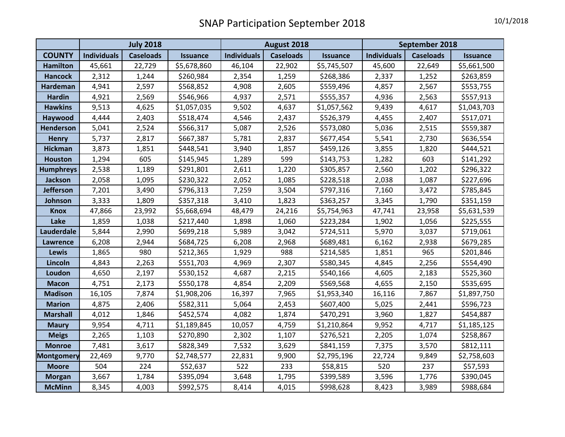|                   | <b>July 2018</b>   |                  |                 | August 2018        |                  |                 | September 2018     |                  |                 |
|-------------------|--------------------|------------------|-----------------|--------------------|------------------|-----------------|--------------------|------------------|-----------------|
| <b>COUNTY</b>     | <b>Individuals</b> | <b>Caseloads</b> | <b>Issuance</b> | <b>Individuals</b> | <b>Caseloads</b> | <b>Issuance</b> | <b>Individuals</b> | <b>Caseloads</b> | <b>Issuance</b> |
| <b>Hamilton</b>   | 45,661             | 22,729           | \$5,678,860     | 46,104             | 22,902           | \$5,745,507     | 45,600             | 22,649           | \$5,661,500     |
| <b>Hancock</b>    | 2,312              | 1,244            | \$260,984       | 2,354              | 1,259            | \$268,386       | 2,337              | 1,252            | \$263,859       |
| <b>Hardeman</b>   | 4,941              | 2,597            | \$568,852       | 4,908              | 2,605            | \$559,496       | 4,857              | 2,567            | \$553,755       |
| <b>Hardin</b>     | 4,921              | 2,569            | \$546,966       | 4,937              | 2,571            | \$555,357       | 4,936              | 2,563            | \$557,913       |
| <b>Hawkins</b>    | 9,513              | 4,625            | \$1,057,035     | 9,502              | 4,637            | \$1,057,562     | 9,439              | 4,617            | \$1,043,703     |
| Haywood           | 4,444              | 2,403            | \$518,474       | 4,546              | 2,437            | \$526,379       | 4,455              | 2,407            | \$517,071       |
| <b>Henderson</b>  | 5,041              | 2,524            | \$566,317       | 5,087              | 2,526            | \$573,080       | 5,036              | 2,515            | \$559,387       |
| <b>Henry</b>      | 5,737              | 2,817            | \$667,387       | 5,781              | 2,837            | \$677,454       | 5,541              | 2,730            | \$636,554       |
| <b>Hickman</b>    | 3,873              | 1,851            | \$448,541       | 3,940              | 1,857            | \$459,126       | 3,855              | 1,820            | \$444,521       |
| <b>Houston</b>    | 1,294              | 605              | \$145,945       | 1,289              | 599              | \$143,753       | 1,282              | 603              | \$141,292       |
| <b>Humphreys</b>  | 2,538              | 1,189            | \$291,801       | 2,611              | 1,220            | \$305,857       | 2,560              | 1,202            | \$296,322       |
| <b>Jackson</b>    | 2,058              | 1,095            | \$230,322       | 2,052              | 1,085            | \$228,518       | 2,038              | 1,087            | \$227,696       |
| <b>Jefferson</b>  | 7,201              | 3,490            | \$796,313       | 7,259              | 3,504            | \$797,316       | 7,160              | 3,472            | \$785,845       |
| Johnson           | 3,333              | 1,809            | \$357,318       | 3,410              | 1,823            | \$363,257       | 3,345              | 1,790            | \$351,159       |
| <b>Knox</b>       | 47,866             | 23,992           | \$5,668,694     | 48,479             | 24,216           | \$5,754,963     | 47,741             | 23,958           | \$5,631,539     |
| Lake              | 1,859              | 1,038            | \$217,440       | 1,898              | 1,060            | \$223,284       | 1,902              | 1,056            | \$225,555       |
| Lauderdale        | 5,844              | 2,990            | \$699,218       | 5,989              | 3,042            | \$724,511       | 5,970              | 3,037            | \$719,061       |
| <b>Lawrence</b>   | 6,208              | 2,944            | \$684,725       | 6,208              | 2,968            | \$689,481       | 6,162              | 2,938            | \$679,285       |
| <b>Lewis</b>      | 1,865              | 980              | \$212,365       | 1,929              | 988              | \$214,585       | 1,851              | 965              | \$201,846       |
| Lincoln           | 4,843              | 2,263            | \$551,703       | 4,969              | 2,307            | \$580,345       | 4,845              | 2,256            | \$554,490       |
| Loudon            | 4,650              | 2,197            | \$530,152       | 4,687              | 2,215            | \$540,166       | 4,605              | 2,183            | \$525,360       |
| <b>Macon</b>      | 4,751              | 2,173            | \$550,178       | 4,854              | 2,209            | \$569,568       | 4,655              | 2,150            | \$535,695       |
| <b>Madison</b>    | 16,105             | 7,874            | \$1,908,206     | 16,397             | 7,965            | \$1,953,340     | 16,116             | 7,867            | \$1,897,750     |
| <b>Marion</b>     | 4,875              | 2,406            | \$582,311       | 5,064              | 2,453            | \$607,400       | 5,025              | 2,441            | \$596,723       |
| <b>Marshall</b>   | 4,012              | 1,846            | \$452,574       | 4,082              | 1,874            | \$470,291       | 3,960              | 1,827            | \$454,887       |
| <b>Maury</b>      | 9,954              | 4,711            | \$1,189,845     | 10,057             | 4,759            | \$1,210,864     | 9,952              | 4,717            | \$1,185,125     |
| <b>Meigs</b>      | 2,265              | 1,103            | \$270,890       | 2,302              | 1,107            | \$276,521       | 2,205              | 1,074            | \$258,867       |
| <b>Monroe</b>     | 7,481              | 3,617            | \$828,349       | 7,532              | 3,629            | \$841,159       | 7,375              | 3,570            | \$812,111       |
| <b>Montgomery</b> | 22,469             | 9,770            | \$2,748,577     | 22,831             | 9,900            | \$2,795,196     | 22,724             | 9,849            | \$2,758,603     |
| <b>Moore</b>      | 504                | 224              | \$52,637        | 522                | 233              | \$58,815        | 520                | 237              | \$57,593        |
| <b>Morgan</b>     | 3,667              | 1,784            | \$395,094       | 3,648              | 1,795            | \$399,589       | 3,596              | 1,776            | \$390,045       |
| <b>McMinn</b>     | 8,345              | 4,003            | \$992,575       | 8,414              | 4,015            | \$998,628       | 8,423              | 3,989            | \$988,684       |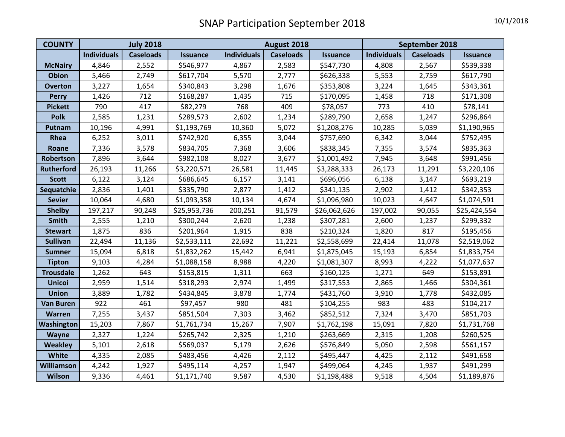| <b>COUNTY</b>     | <b>July 2018</b>   |                  |                 | August 2018        |                  |                 | September 2018     |                  |                 |
|-------------------|--------------------|------------------|-----------------|--------------------|------------------|-----------------|--------------------|------------------|-----------------|
|                   | <b>Individuals</b> | <b>Caseloads</b> | <b>Issuance</b> | <b>Individuals</b> | <b>Caseloads</b> | <b>Issuance</b> | <b>Individuals</b> | <b>Caseloads</b> | <b>Issuance</b> |
| <b>McNairy</b>    | 4,846              | 2,552            | \$546,977       | 4,867              | 2,583            | \$547,730       | 4,808              | 2,567            | \$539,338       |
| <b>Obion</b>      | 5,466              | 2,749            | \$617,704       | 5,570              | 2,777            | \$626,338       | 5,553              | 2,759            | \$617,790       |
| <b>Overton</b>    | 3,227              | 1,654            | \$340,843       | 3,298              | 1,676            | \$353,808       | 3,224              | 1,645            | \$343,361       |
| <b>Perry</b>      | 1,426              | 712              | \$168,287       | 1,435              | 715              | \$170,095       | 1,458              | 718              | \$171,308       |
| <b>Pickett</b>    | 790                | 417              | \$82,279        | 768                | 409              | \$78,057        | 773                | 410              | \$78,141        |
| <b>Polk</b>       | 2,585              | 1,231            | \$289,573       | 2,602              | 1,234            | \$289,790       | 2,658              | 1,247            | \$296,864       |
| Putnam            | 10,196             | 4,991            | \$1,193,769     | 10,360             | 5,072            | \$1,208,276     | 10,285             | 5,039            | \$1,190,965     |
| Rhea              | 6,252              | 3,011            | \$742,920       | 6,355              | 3,044            | \$757,690       | 6,342              | 3,044            | \$752,495       |
| Roane             | 7,336              | 3,578            | \$834,705       | 7,368              | 3,606            | \$838,345       | 7,355              | 3,574            | \$835,363       |
| Robertson         | 7,896              | 3,644            | \$982,108       | 8,027              | 3,677            | \$1,001,492     | 7,945              | 3,648            | \$991,456       |
| <b>Rutherford</b> | 26,193             | 11,266           | \$3,220,571     | 26,581             | 11,445           | \$3,288,333     | 26,173             | 11,291           | \$3,220,106     |
| <b>Scott</b>      | 6,122              | 3,124            | \$686,645       | 6,157              | 3,141            | \$696,056       | 6,138              | 3,147            | \$693,219       |
| Sequatchie        | 2,836              | 1,401            | \$335,790       | 2,877              | 1,412            | \$341,135       | 2,902              | 1,412            | \$342,353       |
| <b>Sevier</b>     | 10,064             | 4,680            | \$1,093,358     | 10,134             | 4,674            | \$1,096,980     | 10,023             | 4,647            | \$1,074,591     |
| <b>Shelby</b>     | 197,217            | 90,248           | \$25,953,736    | 200,251            | 91,579           | \$26,062,626    | 197,002            | 90,055           | \$25,424,554    |
| <b>Smith</b>      | 2,555              | 1,210            | \$300,244       | 2,620              | 1,238            | \$307,281       | 2,600              | 1,237            | \$299,332       |
| <b>Stewart</b>    | 1,875              | 836              | \$201,964       | 1,915              | 838              | \$210,324       | 1,820              | 817              | \$195,456       |
| <b>Sullivan</b>   | 22,494             | 11,136           | \$2,533,111     | 22,692             | 11,221           | \$2,558,699     | 22,414             | 11,078           | \$2,519,062     |
| <b>Sumner</b>     | 15,094             | 6,818            | \$1,832,262     | 15,442             | 6,941            | \$1,875,045     | 15,193             | 6,854            | \$1,833,754     |
| <b>Tipton</b>     | 9,103              | 4,284            | \$1,088,158     | 8,988              | 4,220            | \$1,081,307     | 8,993              | 4,222            | \$1,077,637     |
| <b>Trousdale</b>  | 1,262              | 643              | \$153,815       | 1,311              | 663              | \$160,125       | 1,271              | 649              | \$153,891       |
| <b>Unicoi</b>     | 2,959              | 1,514            | \$318,293       | 2,974              | 1,499            | \$317,553       | 2,865              | 1,466            | \$304,361       |
| <b>Union</b>      | 3,889              | 1,782            | \$434,845       | 3,878              | 1,774            | \$431,760       | 3,910              | 1,778            | \$432,085       |
| <b>Van Buren</b>  | 922                | 461              | \$97,457        | 980                | 481              | \$104,255       | 983                | 483              | \$104,217       |
| Warren            | 7,255              | 3,437            | \$851,504       | 7,303              | 3,462            | \$852,512       | 7,324              | 3,470            | \$851,703       |
| Washington        | 15,203             | 7,867            | \$1,761,734     | 15,267             | 7,907            | \$1,762,198     | 15,091             | 7,820            | \$1,731,768     |
| <b>Wayne</b>      | 2,327              | 1,224            | \$265,742       | 2,325              | 1,210            | \$263,669       | 2,315              | 1,208            | \$260,525       |
| <b>Weakley</b>    | 5,101              | 2,618            | \$569,037       | 5,179              | 2,626            | \$576,849       | 5,050              | 2,598            | \$561,157       |
| White             | 4,335              | 2,085            | \$483,456       | 4,426              | 2,112            | \$495,447       | 4,425              | 2,112            | \$491,658       |
| <b>Williamson</b> | 4,242              | 1,927            | \$495,114       | 4,257              | 1,947            | \$499,064       | 4,245              | 1,937            | \$491,299       |
| Wilson            | 9,336              | 4,461            | \$1,171,740     | 9,587              | 4,530            | \$1,198,488     | 9,518              | 4,504            | \$1,189,876     |